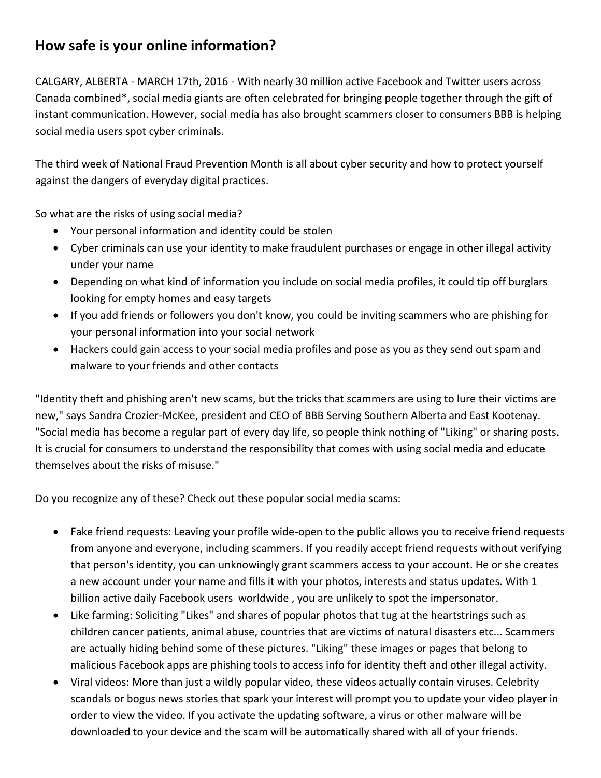## **How safe is your online information?**

CALGARY, ALBERTA - MARCH 17th, 2016 - With nearly 30 million active Facebook and Twitter users across Canada combined\*, social media giants are often celebrated for bringing people together through the gift of instant communication. However, social media has also brought scammers closer to consumers BBB is helping social media users spot cyber criminals.

The third week of National Fraud Prevention Month is all about cyber security and how to protect yourself against the dangers of everyday digital practices.

So what are the risks of using social media?

- Your personal information and identity could be stolen
- Cyber criminals can use your identity to make fraudulent purchases or engage in other illegal activity under your name
- Depending on what kind of information you include on social media profiles, it could tip off burglars looking for empty homes and easy targets
- If you add friends or followers you don't know, you could be inviting scammers who are phishing for your personal information into your social network
- Hackers could gain access to your social media profiles and pose as you as they send out spam and malware to your friends and other contacts

"Identity theft and phishing aren't new scams, but the tricks that scammers are using to lure their victims are new," says Sandra Crozier-McKee, president and CEO of BBB Serving Southern Alberta and East Kootenay. "Social media has become a regular part of every day life, so people think nothing of "Liking" or sharing posts. It is crucial for consumers to understand the responsibility that comes with using social media and educate themselves about the risks of misuse."

## Do you recognize any of these? Check out these popular social media scams:

- Fake friend requests: Leaving your profile wide-open to the public allows you to receive friend requests from anyone and everyone, including scammers. If you readily accept friend requests without verifying that person's identity, you can unknowingly grant scammers access to your account. He or she creates a new account under your name and fills it with your photos, interests and status updates. With 1 billion active daily Facebook users worldwide , you are unlikely to spot the impersonator.
- Like farming: Soliciting "Likes" and shares of popular photos that tug at the heartstrings such as children cancer patients, animal abuse, countries that are victims of natural disasters etc... Scammers are actually hiding behind some of these pictures. "Liking" these images or pages that belong to malicious Facebook apps are phishing tools to access info for identity theft and other illegal activity.
- Viral videos: More than just a wildly popular video, these videos actually contain viruses. Celebrity scandals or bogus news stories that spark your interest will prompt you to update your video player in order to view the video. If you activate the updating software, a virus or other malware will be downloaded to your device and the scam will be automatically shared with all of your friends.